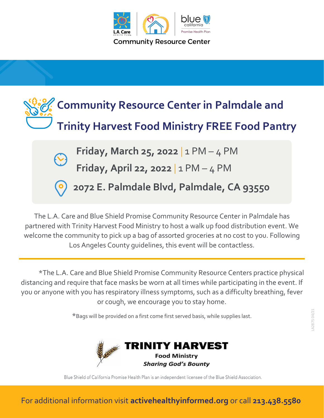



The L.A. Care and Blue Shield Promise Community Resource Center in Palmdale has partnered with Trinity Harvest Food Ministry to host a walk up food distribution event. We welcome the community to pick up a bag of assorted groceries at no cost to you. Following Los Angeles County guidelines, this event will be contactless.

\*The L.A. Care and Blue Shield Promise Community Resource Centers practice physical distancing and require that face masks be worn at all times while participating in the event. If you or anyone with you has respiratory illness symptoms, such as a difficulty breathing, fever or cough, we encourage you to stay home.

\*Bags will be provided on a first come first served basis, while supplies last.



Blue Shield of California Promise Health Plan is an independent licensee of the Blue Shield Association.

For additional information visit **activehealthyinformed.org** or call **213.438.5580**